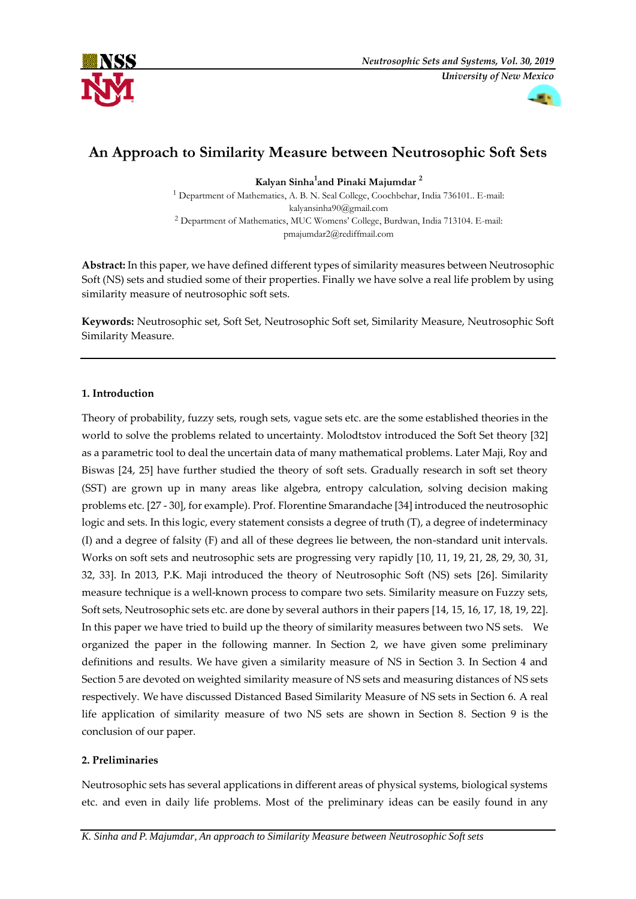



# **An Approach to Similarity Measure between Neutrosophic Soft Sets**

**Kalyan Sinha<sup>1</sup> and Pinaki Majumdar <sup>2</sup>**

<sup>1</sup> Department of Mathematics, A. B. N. Seal College, Coochbehar, India 736101.. E-mail: [kalyansinha90@gmail.com](mailto:kalyansinha90@gmail.com) <sup>2</sup> Department of Mathematics, MUC Womens' College, Burdwan, India 713104. E-mail: [pmajumdar2@rediffmail.com](mailto:pmajumdar2@rediffmail.com)

**Abstract:** In this paper, we have defined different types of similarity measures between Neutrosophic Soft (NS) sets and studied some of their properties. Finally we have solve a real life problem by using similarity measure of neutrosophic soft sets.

**Keywords:** Neutrosophic set, Soft Set, Neutrosophic Soft set, Similarity Measure, Neutrosophic Soft Similarity Measure.

# **1. Introduction**

Theory of probability, fuzzy sets, rough sets, vague sets etc. are the some established theories in the world to solve the problems related to uncertainty. Molodtstov introduced the Soft Set theory [32] as a parametric tool to deal the uncertain data of many mathematical problems. Later Maji, Roy and Biswas [24, 25] have further studied the theory of soft sets. Gradually research in soft set theory (SST) are grown up in many areas like algebra, entropy calculation, solving decision making problems etc. [27 - 30], for example). Prof. Florentine Smarandache [34] introduced the neutrosophic logic and sets. In this logic, every statement consists a degree of truth (T), a degree of indeterminacy (I) and a degree of falsity (F) and all of these degrees lie between, the non-standard unit intervals. Works on soft sets and neutrosophic sets are progressing very rapidly [10, 11, 19, 21, 28, 29, 30, 31, 32, 33]. In 2013, P.K. Maji introduced the theory of Neutrosophic Soft (NS) sets [26]. Similarity measure technique is a well-known process to compare two sets. Similarity measure on Fuzzy sets, Soft sets, Neutrosophic sets etc. are done by several authors in their papers [14, 15, 16, 17, 18, 19, 22]. In this paper we have tried to build up the theory of similarity measures between two NS sets. We organized the paper in the following manner. In Section 2, we have given some preliminary definitions and results. We have given a similarity measure of NS in Section 3. In Section 4 and Section 5 are devoted on weighted similarity measure of NS sets and measuring distances of NS sets respectively. We have discussed Distanced Based Similarity Measure of NS sets in Section 6. A real life application of similarity measure of two NS sets are shown in Section 8. Section 9 is the conclusion of our paper.

# **2. Preliminaries**

Neutrosophic sets has several applications in different areas of physical systems, biological systems etc. and even in daily life problems. Most of the preliminary ideas can be easily found in any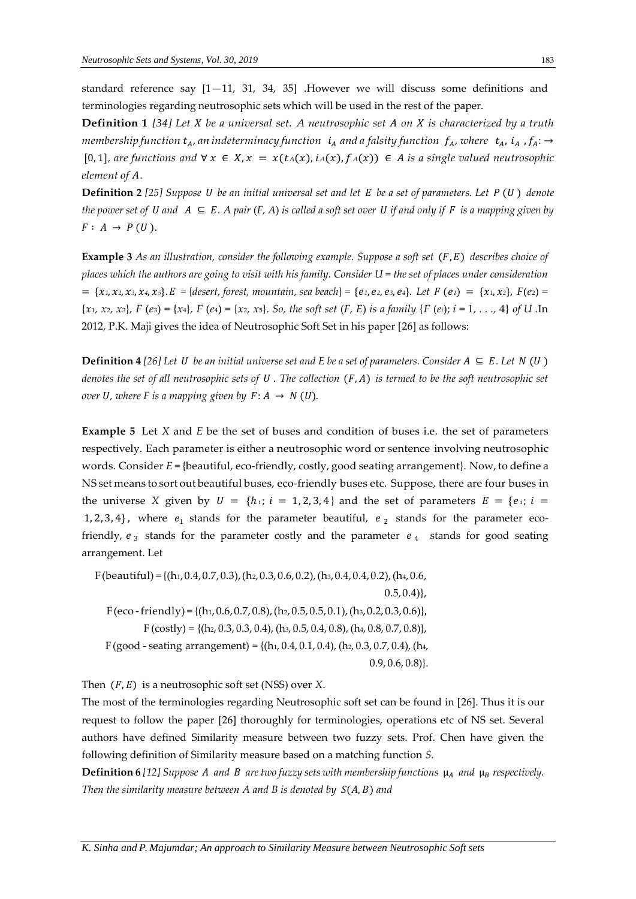standard reference say  $[1-11, 31, 34, 35]$  . However we will discuss some definitions and terminologies regarding neutrosophic sets which will be used in the rest of the paper.

**Definition 1** *[34] Let be a universal set. A neutrosophic set on is characterized by a truth membership function*  $t_A$ , *an indeterminacy function*  $i_A$  *and a falsity function*  $f_A$ , *where*  $t_A$ ,  $i_A$ ,  $f_A$ :  $\rightarrow$  $[0, 1]$ *, are functions and*  $\forall x \in X, x = x(t_A(x), i_A(x), f_A(x)) \in A$  *is a single valued neutrosophic element* of A.

**Definition 2** [25] Suppose *U* be an initial universal set and let *E* be a set of parameters. Let *P* (*U*) denote *the power set of U and*  $A \subseteq E$ . A pair  $(F, A)$  *is called a soft set over U if and only if* F *is a mapping given by*  $F: A \rightarrow P(U)$ .

**Example 3** As an illustration, consider the following example. Suppose a soft set  $(F, E)$  describes choice of *places which the authors are going to visit with his family. Consider U = the set of places under consideration*  = {x1, x2, x3, x4, x5}. E = {desert, forest, mountain, sea beach} = {e1, e2, e3, e4}. Let F (e1) = {x1, x2}, F(e2) =  $\{x_1, x_2, x_3\}$ ,  $F(e_3) = \{x_4\}$ ,  $F(e_4) = \{x_2, x_5\}$ . So, the soft set  $(F, E)$  is a family  $\{F(e_i); i = 1, ..., 4\}$  of U. In 2012, P.K. Maji gives the idea of Neutrosophic Soft Set in his paper [26] as follows:

**Definition 4** [26] Let *U* be an initial universe set and *E* be a set of parameters. Consider  $A \subseteq E$ . Let  $N(U)$ *denotes the set of all neutrosophic sets of U. The collection*  $(F, A)$  *is termed to be the soft neutrosophic set over* U, where F is a mapping given by  $F: A \rightarrow N(U)$ .

**Example 5** Let *X* and *E* be the set of buses and condition of buses i.e. the set of parameters respectively. Each parameter is either a neutrosophic word or sentence involving neutrosophic words. Consider *E* = {beautiful, eco-friendly, costly, good seating arrangement}. Now, to define a NS set means to sort out beautiful buses, eco-friendly buses etc. Suppose, there are four buses in the universe *X* given by  $U = \{h_i; i = 1, 2, 3, 4\}$  and the set of parameters  $E = \{e_i; i = 1, 2, 3, 4\}$ 1, 2, 3, 4}, where  $e_1$  stands for the parameter beautiful,  $e_2$  stands for the parameter ecofriendly,  $e_3$  stands for the parameter costly and the parameter  $e_4$  stands for good seating arrangement. Let

F(beautiful) = { $(h_1, 0.4, 0.7, 0.3)$ ,  $(h_2, 0.3, 0.6, 0.2)$ ,  $(h_3, 0.4, 0.4, 0.2)$ ,  $(h_4, 0.6,$  $(0.5, 0.4)$  $F(eco-friendly) = \{(h_1, 0.6, 0.7, 0.8), (h_2, 0.5, 0.5, 0.1), (h_3, 0.2, 0.3, 0.6)\},\$  $F (costly) = \{(h_2, 0.3, 0.3, 0.4), (h_3, 0.5, 0.4, 0.8), (h_4, 0.8, 0.7, 0.8)\},\$ F (good - seating arrangement) = { $(h_1, 0.4, 0.1, 0.4)$ ,  $(h_2, 0.3, 0.7, 0.4)$ ,  $(h_4,$  $[0.9, 0.6, 0.8]$ .

Then  $(F, E)$  is a neutrosophic soft set (NSS) over *X*.

The most of the terminologies regarding Neutrosophic soft set can be found in [26]. Thus it is our request to follow the paper [26] thoroughly for terminologies, operations etc of NS set. Several authors have defined Similarity measure between two fuzzy sets. Prof. Chen have given the following definition of Similarity measure based on a matching function *S*.

**Definition 6** [12] Suppose A and B are two fuzzy sets with membership functions  $\mu_A$  and  $\mu_B$  respectively. *Then the similarity measure between A and B is denoted by*  $S(A, B)$  *and*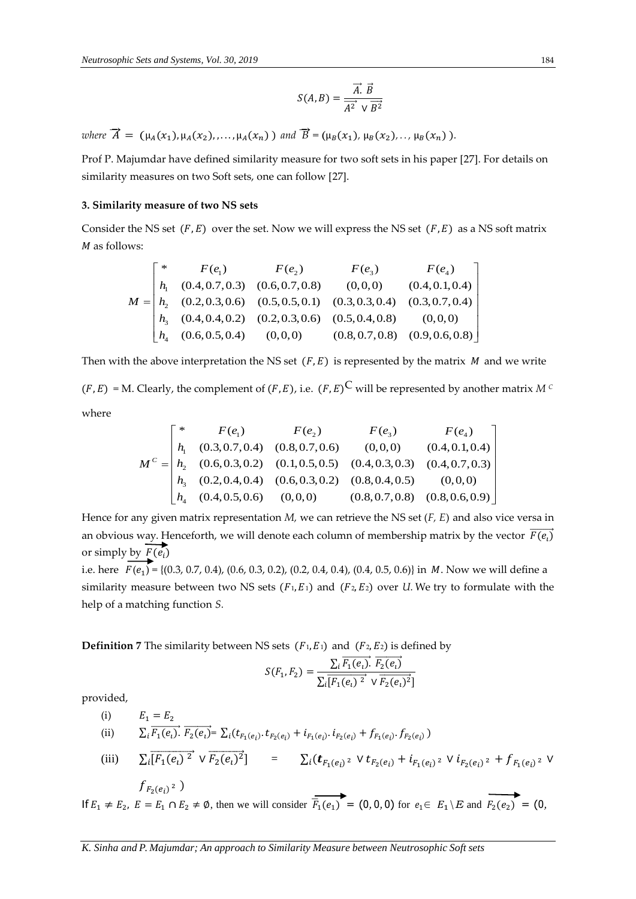$$
S(A,B) = \frac{\overrightarrow{A} \cdot \overrightarrow{B}}{\overrightarrow{A^2} \vee \overrightarrow{B^2}}
$$

 $\nu$  *ahere*  $\vec{A} = (\mu_A(x_1), \mu_A(x_2), \ldots, \mu_A(x_n))$  *and*  $\vec{B} = (\mu_B(x_1), \mu_B(x_2), \ldots, \mu_B(x_n))$ .

Prof P. Majumdar have defined similarity measure for two soft sets in his paper [27]. For details on similarity measures on two Soft sets, one can follow [27].

## **3. Similarity measure of two NS sets**

Consider the NS set  $(F, E)$  over the set. Now we will express the NS set  $(F, E)$  as a NS soft matrix M as follows:

$$
M = \begin{bmatrix} * & F(e_1) & F(e_2) & F(e_3) & F(e_4) \\ h_1 & (0.4, 0.7, 0.3) & (0.6, 0.7, 0.8) & (0, 0, 0) & (0.4, 0.1, 0.4) \\ h_2 & (0.2, 0.3, 0.6) & (0.5, 0.5, 0.1) & (0.3, 0.3, 0.4) & (0.3, 0.7, 0.4) \\ h_3 & (0.4, 0.4, 0.2) & (0.2, 0.3, 0.6) & (0.5, 0.4, 0.8) & (0, 0, 0) \\ h_4 & (0.6, 0.5, 0.4) & (0, 0, 0) & (0.8, 0.7, 0.8) & (0.9, 0.6, 0.8) \end{bmatrix}
$$

Then with the above interpretation the NS set  $(F, E)$  is represented by the matrix  $M$  and we write

 $(F, E) = M$ . Clearly, the complement of  $(F, E)$ , i.e.  $(F, E)^C$  will be represented by another matrix *M*<sup>*C*</sup> where

$$
M^{c} = \begin{bmatrix} * & F(e_{1}) & F(e_{2}) & F(e_{3}) & F(e_{4}) \\ h_{1} & (0.3, 0.7, 0.4) & (0.8, 0.7, 0.6) & (0,0,0) & (0.4, 0.1, 0.4) \\ h_{2} & (0.6, 0.3, 0.2) & (0.1, 0.5, 0.5) & (0.4, 0.3, 0.3) & (0.4, 0.7, 0.3) \\ h_{3} & (0.2, 0.4, 0.4) & (0.6, 0.3, 0.2) & (0.8, 0.4, 0.5) & (0,0,0) \\ h_{4} & (0.4, 0.5, 0.6) & (0,0,0) & (0.8, 0.7, 0.8) & (0.8, 0.6, 0.9) \end{bmatrix}
$$

Hence for any given matrix representation *M,* we can retrieve the NS set (*F, E*) and also vice versa in an obvious way. Henceforth, we will denote each column of membership matrix by the vector  $\overline{F(e_l)}$ or simply by  $\overrightarrow{F(e_i)}$ 

i.e. here  $F(e_1) = \{(0.3, 0.7, 0.4), (0.6, 0.3, 0.2), (0.2, 0.4, 0.4), (0.4, 0.5, 0.6)\}\$ in M. Now we will define a similarity measure between two NS sets  $(F_1, E_1)$  and  $(F_2, E_2)$  over *U*. We try to formulate with the help of a matching function *S.*

**Definition 7** The similarity between NS sets  $(F_1, E_1)$  and  $(F_2, E_2)$  is defined by

$$
S(F_1, F_2) = \frac{\sum_{i} \overline{F_1(e_i)} \cdot \overline{F_2(e_i)}}{\sum_{i} \overline{[F_1(e_i)]^2} \cdot \sqrt{F_2(e_i)^2}}
$$

provided,

(i) 
$$
E_1 = E_2
$$
  
\n(ii)  $\sum_i \overline{F_1(e_i)} \cdot \overline{F_2(e_i)} = \sum_i (t_{F_1(e_i)} \cdot t_{F_2(e_i)} + i_{F_1(e_i)} \cdot i_{F_2(e_i)} + f_{F_1(e_i)} \cdot f_{F_2(e_i)})$   
\n(iii)  $\sum_i \overline{[F_1(e_i)^2} \vee \overline{F_2(e_i)^2}] = \sum_i (\bm{t}_{F_1(e_i)^2} \vee t_{F_2(e_i)} + i_{F_1(e_i)^2} \vee i_{F_2(e_i)^2} + f_{F_1(e_i)^2} \vee f_{F_2(e_i)^2})$ 

If  $E_1 \neq E_2$ ,  $E = E_1 \cap E_2 \neq \emptyset$ , then we will consider  $\overline{F_1(e_1)} = (0, 0, 0)$  for  $e_1 \in E_1 \setminus E$  and  $\overline{F_2(e_2)} = (0, 0, 0)$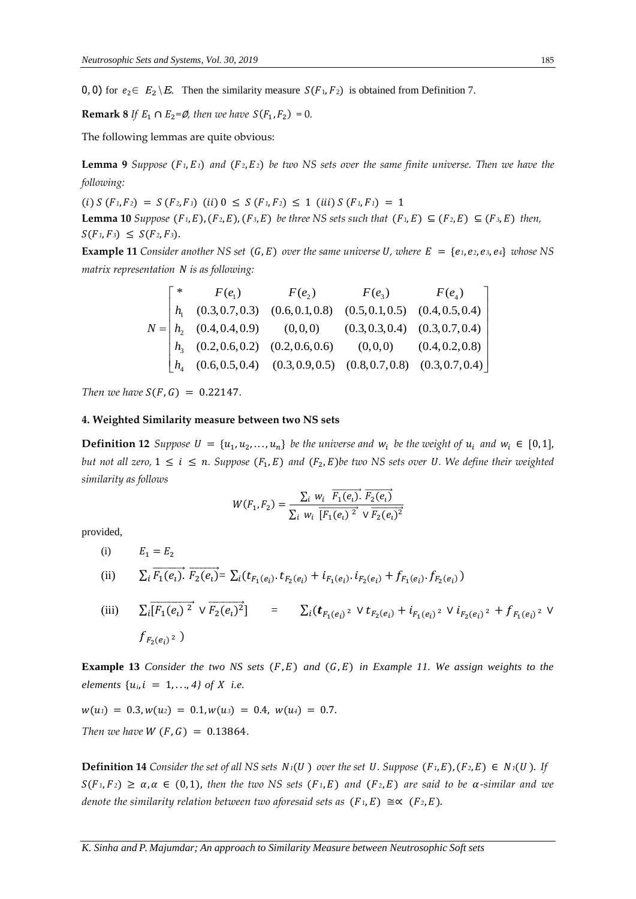0, 0) for  $e_2 \in E_2 \backslash E$ . Then the similarity measure  $S(F_1, F_2)$  is obtained from Definition 7.

**Remark 8** If  $E_1 \cap E_2 = \emptyset$ , then we have  $S(F_1, F_2) = 0$ .

The following lemmas are quite obvious:

**Lemma 9** *Suppose*  $(F_1, E_1)$  *and*  $(F_2, E_2)$  *be two NS sets over the same finite universe. Then we have the following:*

 $(i) S(F_1, F_2) = S(F_2, F_1)$   $(ii) 0 \le S(F_1, F_2) \le 1$   $(iii) S(F_1, F_1) = 1$ 

**Lemma 10** *Suppose*  $(F_1, E), (F_2, E), (F_3, E)$  *be three NS sets such that*  $(F_1, E) \subseteq (F_2, E) \subseteq (F_3, E)$  *then,*  $S(F_1, F_3) \leq S(F_2, F_3).$ 

**Example 11** *Consider another NS set*  $(G, E)$  *over the same universe U, where*  $E = \{e_1, e_2, e_3, e_4\}$  *whose* NS *matrix representation is as following:*

|  | $F(e_1)$ $F(e_2)$ $F(e_3)$ $F(e_4)$                                                                         |  |
|--|-------------------------------------------------------------------------------------------------------------|--|
|  | $\begin{vmatrix} h_1 & (0.3, 0.7, 0.3) & (0.6, 0.1, 0.8) & (0.5, 0.1, 0.5) & (0.4, 0.5, 0.4) \end{vmatrix}$ |  |
|  | $N = h_2$ (0.4, 0.4, 0.9) (0, 0, 0) (0.3, 0.3, 0.4) (0.3, 0.7, 0.4)                                         |  |
|  | $\begin{vmatrix} h_3 & (0.2, 0.6, 0.2) & (0.2, 0.6, 0.6) & (0, 0, 0) & (0.4, 0.2, 0.8) \end{vmatrix}$       |  |
|  | $\begin{bmatrix} h_4 & (0.6, 0.5, 0.4) & (0.3, 0.9, 0.5) & (0.8, 0.7, 0.8) & (0.3, 0.7, 0.4) \end{bmatrix}$ |  |

*Then we have*  $S(F, G) = 0.22147$ .

## **4. Weighted Similarity measure between two NS sets**

**Definition 12** Suppose  $U = \{u_1, u_2, ..., u_n\}$  be the universe and  $w_i$  be the weight of  $u_i$  and  $w_i \in [0, 1]$ , *but not all zero,*  $1 \le i \le n$ . Suppose  $(F_1, E)$  and  $(F_2, E)$ be two NS sets over U. We define their weighted *similarity as follows*

$$
W(F_1, F_2) = \frac{\sum_i w_i \overline{F_1(e_i)} \cdot \overline{F_2(e_i)}}{\sum_i w_i \overline{[F_1(e_i)]^2} \vee \overline{F_2(e_i)^2}}
$$

provided,

(i) 
$$
E_1 = E_2
$$
  
\n(ii)  $\sum_i \overline{F_1(e_i)} \cdot \overline{F_2(e_i)} = \sum_i (t_{F_1(e_i)} \cdot t_{F_2(e_i)} + i_{F_1(e_i)} \cdot i_{F_2(e_i)} + f_{F_1(e_i)} \cdot f_{F_2(e_i)})$ 

(iii) 
$$
\sum_{i} \overline{[F_1(e_i)^2} \vee \overline{F_2(e_i)^2}] = \sum_{i} (\mathbf{t}_{F_1(e_i)^2} \vee \mathbf{t}_{F_2(e_i)} + \mathbf{i}_{F_1(e_i)^2} \vee \mathbf{i}_{F_2(e_i)^2} + f_{F_1(e_i)^2} \vee f_{F_2(e_i)^2})
$$

**Example 13** *Consider the two NS sets*  $(F, E)$  *and*  $(G, E)$  *in Example 11. We assign weights to the elements*  $\{u_i, i = 1, ..., 4\}$  *of*  $X$  *i.e.* 

 $w(u_1) = 0.3, w(u_2) = 0.1, w(u_3) = 0.4, w(u_4) = 0.7.$ *Then we have*  $W(F, G) = 0.13864$ .

**Definition 14** *Consider the set of all NS sets*  $N_1(U)$  *<i>over the set U. Suppose*  $(F_1, E), (F_2, E) \in N_1(U)$ *. If*  $S(F_1, F_2) \ge \alpha, \alpha \in (0, 1)$ , then the two NS sets  $(F_1, E)$  and  $(F_2, E)$  are said to be  $\alpha$ -similar and we *denote the similarity relation between two aforesaid sets as*  $(F_1, E) \cong (F_2, E)$ .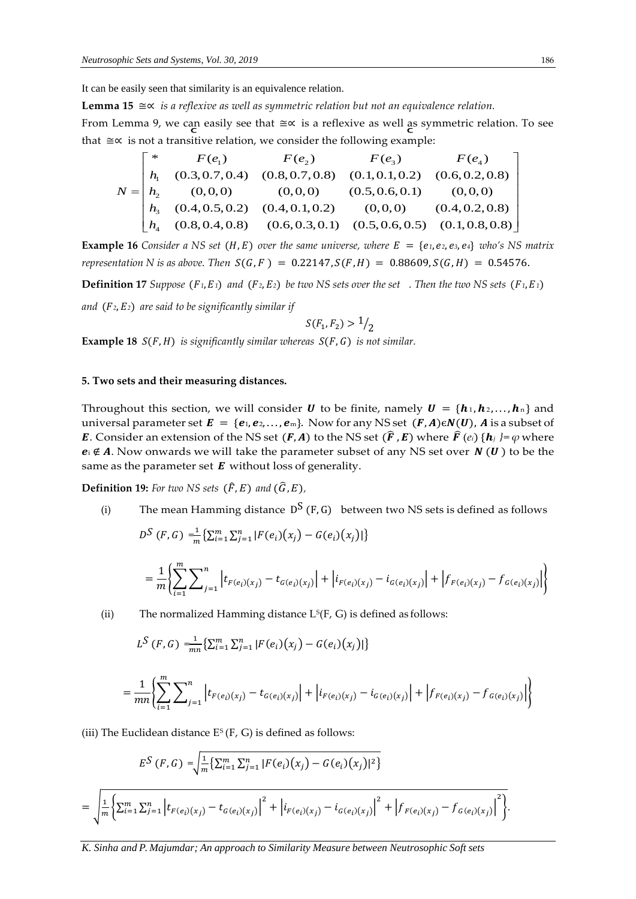It can be easily seen that similarity is an equivalence relation.

**Lemma 15** ≅∝ *is a reflexive as well as symmetric relation but not an equivalence relation.*

From Lemma 9, we can easily see that ≅∝ is a reflexive as well as symmetric relation. To see that ≅∝ is not a transitive relation, we consider the following example:

$$
N = \begin{bmatrix} * & F(e_1) & F(e_2) & F(e_3) & F(e_4) \\ h_1 & (0.3, 0.7, 0.4) & (0.8, 0.7, 0.8) & (0.1, 0.1, 0.2) & (0.6, 0.2, 0.8) \\ h_2 & (0, 0, 0) & (0, 0, 0) & (0.5, 0.6, 0.1) & (0, 0, 0) \\ h_3 & (0.4, 0.5, 0.2) & (0.4, 0.1, 0.2) & (0, 0, 0) & (0.4, 0.2, 0.8) \\ h_4 & (0.8, 0.4, 0.8) & (0.6, 0.3, 0.1) & (0.5, 0.6, 0.5) & (0.1, 0.8, 0.8) \end{bmatrix}
$$

**Example 16** *Consider a NS set* (*H, E*) *over the same universe, where*  $E = \{e_1, e_2, e_3, e_4\}$  *who's NS matrix representation N is as above.* Then  $S(G, F) = 0.22147$ ,  $S(F, H) = 0.88609$ ,  $S(G, H) = 0.54576$ .

**Definition 17** *Suppose*  $(F_1, E_1)$  *and*  $(F_2, E_2)$  *be two NS sets over the set.* Then the two NS sets  $(F_1, E_1)$ 

*and* (*2*, *2*) *are said to be significantly similar if*

$$
S(F_1, F_2) > \frac{1}{2}
$$

**Example 18**  $S(F, H)$  *is significantly similar whereas*  $S(F, G)$  *is not similar.* 

## **5. Two sets and their measuring distances.**

Throughout this section, we will consider **U** to be finite, namely  $\mathbf{U} = \{\mathbf{h}_1, \mathbf{h}_2, ..., \mathbf{h}_n\}$  and universal parameter set  $E = \{e_1, e_2, \dots, e_m\}$ . Now for any NS set  $(F, A) \in N(U)$ , A is a subset of E. Consider an extension of the NS set  $(F, A)$  to the NS set  $(\widehat{F}, E)$  where  $\widehat{F}(e_i) \{h_i\} = \varphi$  where  $e_i \notin A$ . Now onwards we will take the parameter subset of any NS set over  $N(U)$  to be the same as the parameter set  $\boldsymbol{E}$  without loss of generality.

**Definition 19:** For two NS sets  $(\hat{F}, E)$  and  $(\hat{G}, E)$ ,

(i) The mean Hamming distance  $D^S(F, G)$  between two NS sets is defined as follows  $D^{S}(F, G) = \frac{1}{m}$  $\frac{1}{m}\left\{\sum_{i=1}^m\sum_{j=1}^n|F(e_i)(x_j)-G(e_i)(x_j)|\right\}$ 

$$
= \frac{1}{m} \left\{ \sum_{i=1}^{m} \sum_{j=1}^{n} \left| t_{F(e_i)(x_j)} - t_{G(e_i)(x_j)} \right| + \left| i_{F(e_i)(x_j)} - i_{G(e_i)(x_j)} \right| + \left| f_{F(e_i)(x_j)} - f_{G(e_i)(x_j)} \right| \right\}
$$

(ii) The normalized Hamming distance  $\mathrm{L}^\mathrm{s}(\mathrm{F},\,\mathrm{G})$  is defined as follows:

$$
L^{S}(F,G) = \frac{1}{mn} \left\{ \sum_{i=1}^{m} \sum_{j=1}^{n} |F(e_i)(x_j) - G(e_i)(x_j)| \right\}
$$

$$
= \frac{1}{mn} \left\{ \sum_{i=1}^{m} \sum_{j=1}^{n} \left| t_{F(e_i)(x_j)} - t_{G(e_i)(x_j)} \right| + \left| i_{F(e_i)(x_j)} - i_{G(e_i)(x_j)} \right| + \left| f_{F(e_i)(x_j)} - f_{G(e_i)(x_j)} \right| \right\}
$$

(iii) The Euclidean distance E<sup>s</sup> (F, G) is defined as follows:

$$
E^{S}(F, G) = \sqrt{\frac{1}{m} \left\{ \sum_{i=1}^{m} \sum_{j=1}^{n} |F(e_{i})(x_{j}) - G(e_{i})(x_{j})|^{2} \right\}}
$$
  
= 
$$
\sqrt{\frac{1}{m} \left\{ \sum_{i=1}^{m} \sum_{j=1}^{n} \left| t_{F(e_{i})(x_{j})} - t_{G(e_{i})(x_{j})} \right|^{2} + \left| i_{F(e_{i})(x_{j})} - i_{G(e_{i})(x_{j})} \right|^{2} + \left| f_{F(e_{i})(x_{j})} - f_{G(e_{i})(x_{j})} \right|^{2} \right\}}.
$$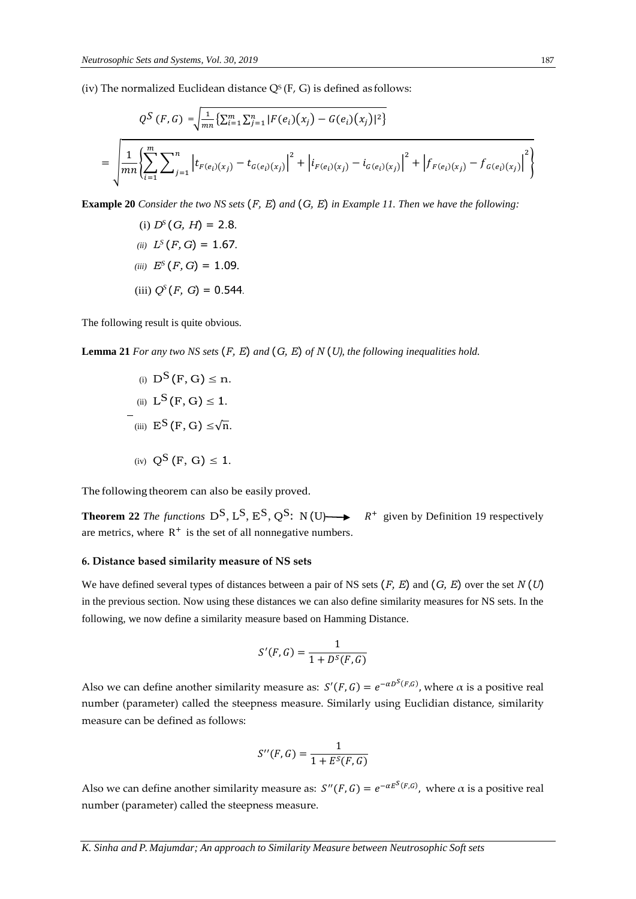(iv) The normalized Euclidean distance Q§ (F, G) is defined as follows:

$$
Q^{S}(F,G) = \sqrt{\frac{1}{mn} \left\{ \sum_{i=1}^{m} \sum_{j=1}^{n} |F(e_{i})(x_{j}) - G(e_{i})(x_{j})|^{2} \right\}}
$$
  
= 
$$
\sqrt{\frac{1}{mn} \left\{ \sum_{i=1}^{m} \sum_{j=1}^{n} \left| t_{F(e_{i})(x_{j})} - t_{G(e_{i})(x_{j})} \right|^{2} + \left| i_{F(e_{i})(x_{j})} - i_{G(e_{i})(x_{j})} \right|^{2} + \left| f_{F(e_{i})(x_{j})} - f_{G(e_{i})(x_{j})} \right|^{2} \right\}}
$$

**Example 20** *Consider the two NS sets* (*F, E*) *and* (*G, E*) *in Example 11. Then we have the following:*

(i) 
$$
D^s(G, H) = 2.8
$$
.  
\n(ii)  $L^s(F, G) = 1.67$ .  
\n(iii)  $E^s(F, G) = 1.09$ .  
\n(iii)  $Q^s(F, G) = 0.544$ .

The following result is quite obvious.

**Lemma 21** *For any two NS sets* (*F, E*) *and* (*G, E*) *of N* (*U), the following inequalities hold.*

(i) 
$$
D^S(F, G) \le n
$$
.  
\n(ii)  $L^S(F, G) \le 1$ .  
\n(iii)  $E^S(F, G) \le \sqrt{n}$ .  
\n(iv)  $Q^S(F, G) \le 1$ .

The following theorem can also be easily proved.

**Theorem 22** *The functions*  $D^S$ ,  $L^S$ ,  $E^S$ ,  $Q^S$ :  $N(U) \rightarrow R^+$  given by Definition 19 respectively are metrics, where  $R^+$  is the set of all nonnegative numbers.

### **6. Distance based similarity measure of NS sets**

We have defined several types of distances between a pair of NS sets (*F, E*) and (*G, E*) over the set *N* (*U*) in the previous section. Now using these distances we can also define similarity measures for NS sets. In the following, we now define a similarity measure based on Hamming Distance.

$$
S'(F,G) = \frac{1}{1 + D^s(F,G)}
$$

Also we can define another similarity measure as:  $S'(F, G) = e^{-\alpha D^S(F, G)}$ , where  $\alpha$  is a positive real number (parameter) called the steepness measure. Similarly using Euclidian distance, similarity measure can be defined as follows:

$$
S''(F,G) = \frac{1}{1 + E^S(F,G)}
$$

Also we can define another similarity measure as:  $S''(F,G) = e^{-\alpha E^S(F,G)}$ , where  $\alpha$  is a positive real number (parameter) called the steepness measure.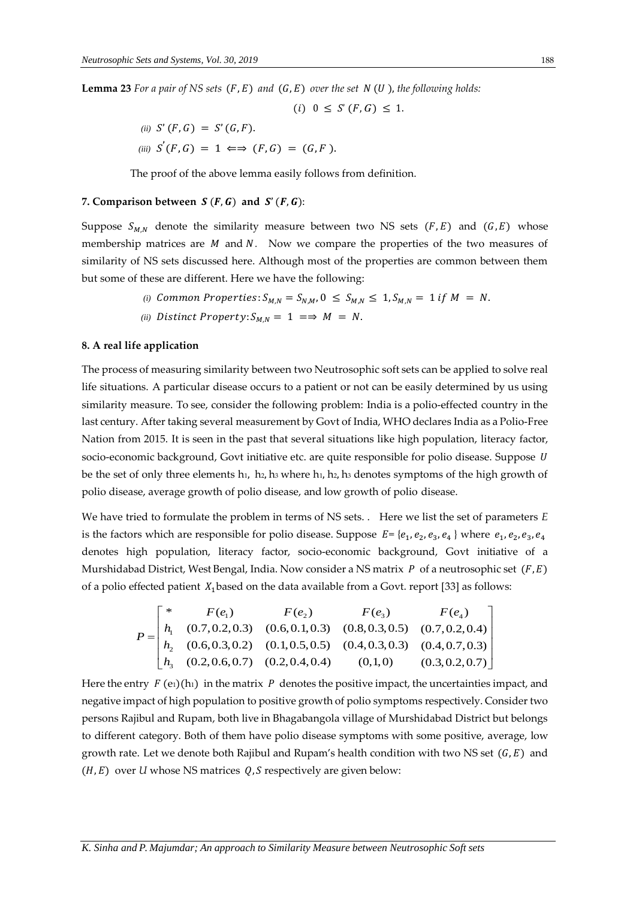**Lemma 23** For a pair of NS sets  $(F, E)$  and  $(G, E)$  over the set  $N(U)$ , the following holds:

$$
(i) \ \ 0 \leq S'(F, G) \leq 1.
$$

(ii) 
$$
S'(F, G) = S'(G, F)
$$
. \n(iii)  $S'(F, G) = 1 \iff (F, G) = (G, F)$ .

The proof of the above lemma easily follows from definition.

#### 7. Comparison between  $S(F, G)$  and  $S'(F, G)$ :

Suppose  $S_{M,N}$  denote the similarity measure between two NS sets  $(F, E)$  and  $(G, E)$  whose membership matrices are  $M$  and  $N$ . Now we compare the properties of the two measures of similarity of NS sets discussed here. Although most of the properties are common between them but some of these are different. Here we have the following:

(i) Common Properties: 
$$
S_{M,N} = S_{N,M}
$$
,  $0 \leq S_{M,N} \leq 1$ ,  $S_{M,N} = 1$  if  $M = N$ .

*(ii)* Distinct Property:  $S_{MN} = 1 \implies M = N$ .

## **8. A real life application**

The process of measuring similarity between two Neutrosophic soft sets can be applied to solve real life situations. A particular disease occurs to a patient or not can be easily determined by us using similarity measure. To see, consider the following problem: India is a polio-effected country in the last century. After taking several measurement by Govt of India, WHO declares India as a Polio-Free Nation from 2015. It is seen in the past that several situations like high population, literacy factor, socio-economic background, Govt initiative etc. are quite responsible for polio disease. Suppose *U* be the set of only three elements h<sub>1</sub>, h<sub>2</sub>, h<sub>3</sub> where h<sub>1</sub>, h<sub>2</sub>, h<sub>3</sub> denotes symptoms of the high growth of polio disease, average growth of polio disease, and low growth of polio disease.

We have tried to formulate the problem in terms of NS sets. . Here we list the set of parameters *E*  is the factors which are responsible for polio disease. Suppose  $E = \{e_1, e_2, e_3, e_4\}$  where  $e_1, e_2, e_3, e_4$ denotes high population, literacy factor, socio-economic background, Govt initiative of a Murshidabad District, West Bengal, India. Now consider a NS matrix  $P$  of a neutrosophic set  $(F, E)$ of a polio effected patient  $X_1$  based on the data available from a Govt. report [33] as follows:

$$
P = \begin{bmatrix} * & F(e_1) & F(e_2) & F(e_3) & F(e_4) \\ h_1 & (0.7, 0.2, 0.3) & (0.6, 0.1, 0.3) & (0.8, 0.3, 0.5) & (0.7, 0.2, 0.4) \\ h_2 & (0.6, 0.3, 0.2) & (0.1, 0.5, 0.5) & (0.4, 0.3, 0.3) & (0.4, 0.7, 0.3) \\ h_3 & (0.2, 0.6, 0.7) & (0.2, 0.4, 0.4) & (0,1,0) & (0.3, 0.2, 0.7) \end{bmatrix}
$$

Here the entry  $F$  (e<sub>1</sub>)(h<sub>1</sub>) in the matrix  $P$  denotes the positive impact, the uncertainties impact, and negative impact of high population to positive growth of polio symptoms respectively. Consider two persons Rajibul and Rupam, both live in Bhagabangola village of Murshidabad District but belongs to different category. Both of them have polio disease symptoms with some positive, average, low growth rate. Let we denote both Rajibul and Rupam's health condition with two NS set  $(G, E)$  and  $(H, E)$  over *U* whose NS matrices  $Q, S$  respectively are given below: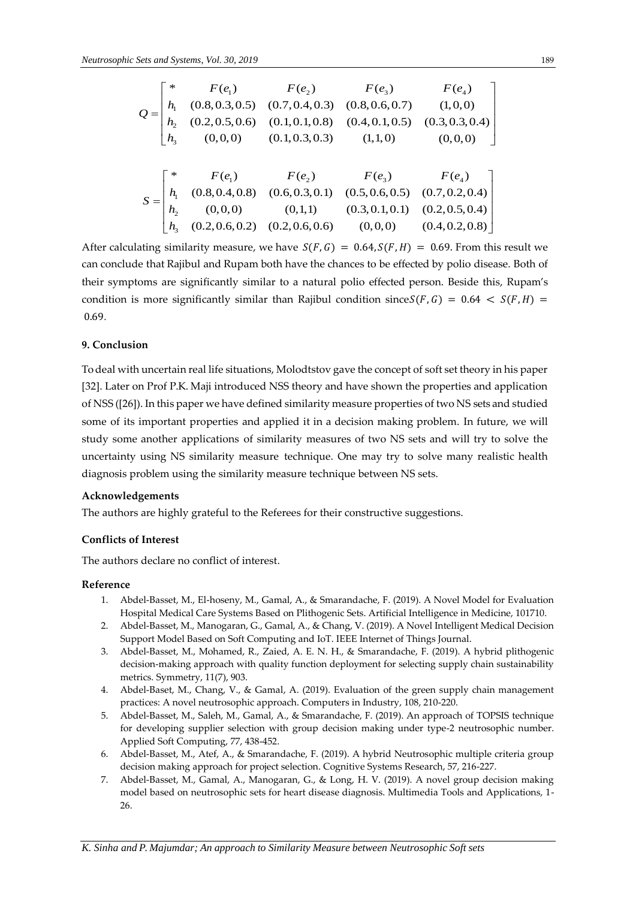|  |  | $Q = \begin{bmatrix} * & F(e_1) & F(e_2) & F(e_3) & F(e_4) \\ h_1 & (0.8, 0.3, 0.5) & (0.7, 0.4, 0.3) & (0.8, 0.6, 0.7) & (1, 0, 0) \\ h_2 & (0.2, 0.5, 0.6) & (0.1, 0.1, 0.8) & (0.4, 0.1, 0.5) & (0.3, 0.3, 0.4) \\ h_3 & (0, 0, 0) & (0.1, 0.3, 0.3) & (1, 1, 0) & (0, 0, 0) \end{bmatrix}$ |
|--|--|------------------------------------------------------------------------------------------------------------------------------------------------------------------------------------------------------------------------------------------------------------------------------------------------|
|  |  | $S=\begin{bmatrix} * & F(e_1) & F(e_2) & F(e_3) & F(e_4) \\ h_1 & (0.8, 0.4, 0.8) & (0.6, 0.3, 0.1) & (0.5, 0.6, 0.5) & (0.7, 0.2, 0.4) \\ h_2 & (0, 0, 0) & (0, 1, 1) & (0.3, 0.1, 0.1) & (0.2, 0.5, 0.4) \\ h_3 & (0.2, 0.6, 0.2) & (0.2, 0.6, 0.6) & (0, 0, 0) & (0.4, 0.2, 0.8) \end$      |

After calculating similarity measure, we have  $S(F, G) = 0.64, S(F, H) = 0.69$ . From this result we can conclude that Rajibul and Rupam both have the chances to be effected by polio disease. Both of their symptoms are significantly similar to a natural polio effected person. Beside this, Rupam's condition is more significantly similar than Rajibul condition since  $S(F, G) = 0.64 < S(F, H) =$ 0.69*.*

# **9. Conclusion**

To deal with uncertain real life situations, Molodtstov gave the concept of soft set theory in his paper [32]. Later on Prof P.K. Maji introduced NSS theory and have shown the properties and application of NSS ([26]). In this paper we have defined similarity measure properties of two NS sets and studied some of its important properties and applied it in a decision making problem. In future, we will study some another applications of similarity measures of two NS sets and will try to solve the uncertainty using NS similarity measure technique. One may try to solve many realistic health diagnosis problem using the similarity measure technique between NS sets.

#### **Acknowledgements**

The authors are highly grateful to the Referees for their constructive suggestions.

## **Conflicts of Interest**

The authors declare no conflict of interest.

## **Reference**

- 1. Abdel-Basset, M., El-hoseny, M., Gamal, A., & Smarandache, F. (2019). A Novel Model for Evaluation Hospital Medical Care Systems Based on Plithogenic Sets. Artificial Intelligence in Medicine, 101710.
- 2. Abdel-Basset, M., Manogaran, G., Gamal, A., & Chang, V. (2019). A Novel Intelligent Medical Decision Support Model Based on Soft Computing and IoT. IEEE Internet of Things Journal.
- 3. Abdel-Basset, M., Mohamed, R., Zaied, A. E. N. H., & Smarandache, F. (2019). A hybrid plithogenic decision-making approach with quality function deployment for selecting supply chain sustainability metrics. Symmetry, 11(7), 903.
- 4. Abdel-Baset, M., Chang, V., & Gamal, A. (2019). Evaluation of the green supply chain management practices: A novel neutrosophic approach. Computers in Industry, 108, 210-220.
- 5. Abdel-Basset, M., Saleh, M., Gamal, A., & Smarandache, F. (2019). An approach of TOPSIS technique for developing supplier selection with group decision making under type-2 neutrosophic number. Applied Soft Computing, 77, 438-452.
- 6. Abdel-Basset, M., Atef, A., & Smarandache, F. (2019). A hybrid Neutrosophic multiple criteria group decision making approach for project selection. Cognitive Systems Research, 57, 216-227.
- 7. Abdel-Basset, M., Gamal, A., Manogaran, G., & Long, H. V. (2019). A novel group decision making model based on neutrosophic sets for heart disease diagnosis. Multimedia Tools and Applications, 1- 26.